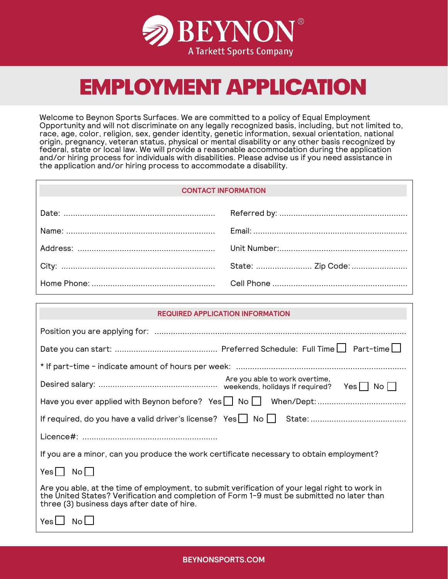

# EMPLOYMENT APPLICATION

Welcome to Beynon Sports Surfaces. We are committed to a policy of Equal Employment Opportunity and will not discriminate on any legally recognized basis, including, but not limited to, race, age, color, religion, sex, gender identity, genetic information, sexual orientation, national origin, pregnancy, veteran status, physical or mental disability or any other basis recognized by federal, state or local law. We will provide a reasonable accommodation during the application and/or hiring process for individuals with disabilities. Please advise us if you need assistance in the application and/or hiring process to accommodate a disability.

# **CONTACT INFORMATION**

| <b>REQUIRED APPLICATION INFORMATION</b>                                                                                                                                                                                                     |                                |  |
|---------------------------------------------------------------------------------------------------------------------------------------------------------------------------------------------------------------------------------------------|--------------------------------|--|
|                                                                                                                                                                                                                                             |                                |  |
|                                                                                                                                                                                                                                             |                                |  |
|                                                                                                                                                                                                                                             |                                |  |
|                                                                                                                                                                                                                                             | Are you able to work overtime, |  |
|                                                                                                                                                                                                                                             |                                |  |
|                                                                                                                                                                                                                                             |                                |  |
|                                                                                                                                                                                                                                             |                                |  |
| If you are a minor, can you produce the work certificate necessary to obtain employment?                                                                                                                                                    |                                |  |
| $Yes \bigsqcup No \bigsqcup$                                                                                                                                                                                                                |                                |  |
| Are you able, at the time of employment, to submit verification of your legal right to work in<br>the United States? Verification and completion of Form 1-9 must be submitted no later than<br>three (3) business days after date of hire. |                                |  |
| Yes<br>No                                                                                                                                                                                                                                   |                                |  |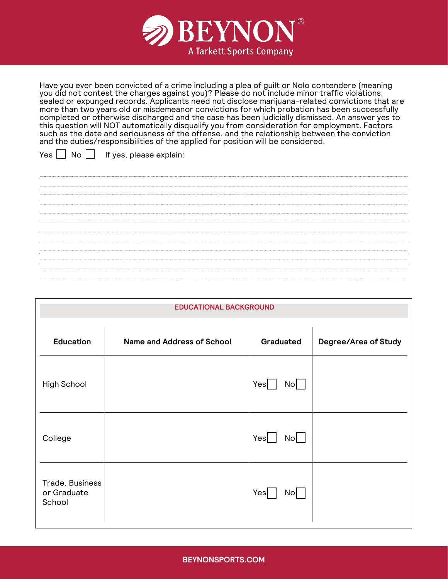

Have you ever been convicted of a crime including a plea of guilt or Nolo contendere (meaning you did not contest the charges against you)? Please do not include minor traffic violations, sealed or expunged records. Applicants need not disclose marijuana-related convictions that are more than two years old or misdemeanor convictions for which probation has been successfully completed or otherwise discharged and the case has been judicially dismissed. An answer yes to this question will NOT automatically disqualify you from consideration for employment. Factors such as the date and seriousness of the offense, and the relationship between the conviction and the duties/responsibilities of the applied for position will be considered.

 $Yes \tN$  No  $\Box$  If yes, please explain:

<u> La componenta de la componenta de la componenta de la componenta de la componenta de la componenta de la compo</u> 

| <b>EDUCATIONAL BACKGROUND</b>            |                                   |                       |                      |
|------------------------------------------|-----------------------------------|-----------------------|----------------------|
| <b>Education</b>                         | <b>Name and Address of School</b> | Graduated             | Degree/Area of Study |
| High School                              |                                   | Yes<br>$No$           |                      |
| College                                  |                                   | Yes<br>N <sub>o</sub> |                      |
| Trade, Business<br>or Graduate<br>School |                                   | Yes<br>No             |                      |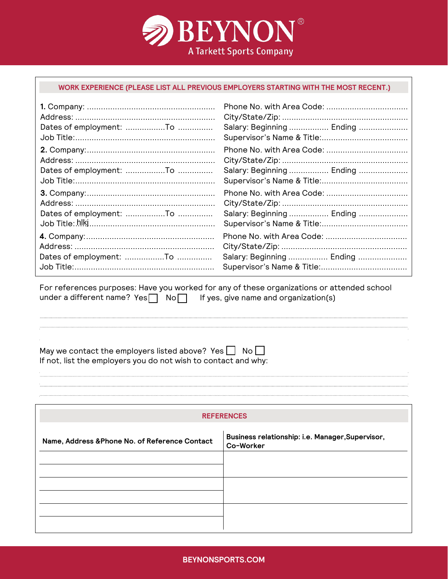

### **WORK EXPERIENCE (PLEASE LIST ALL PREVIOUS EMPLOYERS STARTING WITH THE MOST RECENT.)**

| Salary: Beginning  Ending |
|---------------------------|
|                           |
|                           |
|                           |
| Salary: Beginning  Ending |
|                           |
|                           |
|                           |
| Salary: Beginning  Ending |
|                           |
|                           |
|                           |
| Salary: Beginning  Ending |
|                           |

For references purposes: Have you worked for any of these organizations or attended school under a different name?  $Yes \n\overline{\bigcap} No \n\overline{\bigcap} If yes, give name and organization(s)$ 

May we contact the employers listed above? Yes  $\Box$  No  $\Box$ If not, list the employers you do not wish to contact and why:

#### **REFERENCES**

| Name, Address & Phone No. of Reference Contact | Business relationship: i.e. Manager, Supervisor,<br>Co-Worker |
|------------------------------------------------|---------------------------------------------------------------|
|                                                |                                                               |
|                                                |                                                               |
|                                                |                                                               |
|                                                |                                                               |